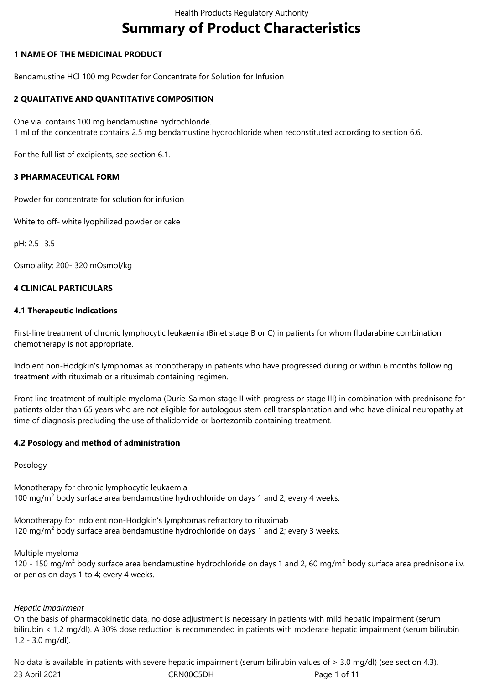# **Summary of Product Characteristics**

# **1 NAME OF THE MEDICINAL PRODUCT**

Bendamustine HCl 100 mg Powder for Concentrate for Solution for Infusion

## **2 QUALITATIVE AND QUANTITATIVE COMPOSITION**

One vial contains 100 mg bendamustine hydrochloride. 1 ml of the concentrate contains 2.5 mg bendamustine hydrochloride when reconstituted according to section 6.6.

For the full list of excipients, see section 6.1.

## **3 PHARMACEUTICAL FORM**

Powder for concentrate for solution for infusion

White to off- white lyophilized powder or cake

pH: 2.5- 3.5

Osmolality: 200- 320 mOsmol/kg

## **4 CLINICAL PARTICULARS**

## **4.1 Therapeutic Indications**

First-line treatment of chronic lymphocytic leukaemia (Binet stage B or C) in patients for whom fludarabine combination chemotherapy is not appropriate.

Indolent non-Hodgkin's lymphomas as monotherapy in patients who have progressed during or within 6 months following treatment with rituximab or a rituximab containing regimen.

Front line treatment of multiple myeloma (Durie-Salmon stage II with progress or stage III) in combination with prednisone for patients older than 65 years who are not eligible for autologous stem cell transplantation and who have clinical neuropathy at time of diagnosis precluding the use of thalidomide or bortezomib containing treatment.

## **4.2 Posology and method of administration**

## Posology

Monotherapy for chronic lymphocytic leukaemia 100 mg/m<sup>2</sup> body surface area bendamustine hydrochloride on days 1 and 2; every 4 weeks.

Monotherapy for indolent non-Hodgkin's lymphomas refractory to rituximab 120 mg/m<sup>2</sup> body surface area bendamustine hydrochloride on days 1 and 2; every 3 weeks.

Multiple myeloma

120 - 150 mg/m<sup>2</sup> body surface area bendamustine hydrochloride on days 1 and 2, 60 mg/m<sup>2</sup> body surface area prednisone i.v. or per os on days 1 to 4; every 4 weeks.

## *Hepatic impairment*

On the basis of pharmacokinetic data, no dose adjustment is necessary in patients with mild hepatic impairment (serum bilirubin < 1.2 mg/dl). A 30% dose reduction is recommended in patients with moderate hepatic impairment (serum bilirubin 1.2 - 3.0 mg/dl).

23 April 2021 CRN00C5DH Page 1 of 11 No data is available in patients with severe hepatic impairment (serum bilirubin values of > 3.0 mg/dl) (see section 4.3).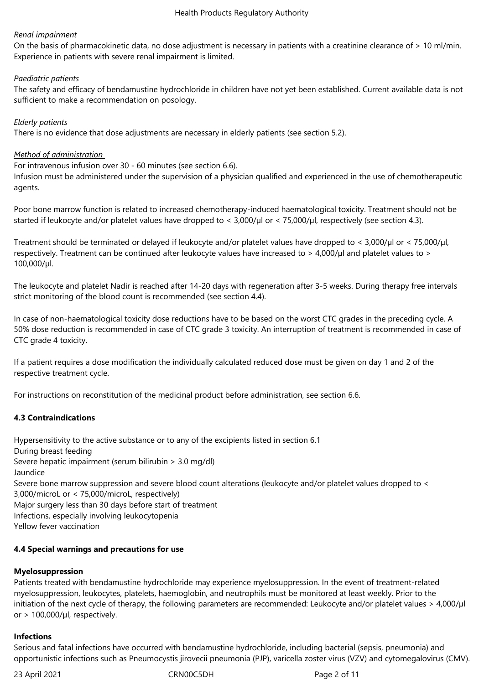## *Renal impairment*

On the basis of pharmacokinetic data, no dose adjustment is necessary in patients with a creatinine clearance of > 10 ml/min. Experience in patients with severe renal impairment is limited.

## *Paediatric patients*

The safety and efficacy of bendamustine hydrochloride in children have not yet been established. Current available data is not sufficient to make a recommendation on posology.

## *Elderly patients*

There is no evidence that dose adjustments are necessary in elderly patients (see section 5.2).

# *Method of administration*

For intravenous infusion over 30 - 60 minutes (see section 6.6).

Infusion must be administered under the supervision of a physician qualified and experienced in the use of chemotherapeutic agents.

Poor bone marrow function is related to increased chemotherapy-induced haematological toxicity. Treatment should not be started if leukocyte and/or platelet values have dropped to <  $3,000/\mu$ l or <  $75,000/\mu$ l, respectively (see section 4.3).

Treatment should be terminated or delayed if leukocyte and/or platelet values have dropped to < 3,000/µl or < 75,000/µl, respectively. Treatment can be continued after leukocyte values have increased to > 4,000/µl and platelet values to > 100,000/µl.

The leukocyte and platelet Nadir is reached after 14-20 days with regeneration after 3-5 weeks. During therapy free intervals strict monitoring of the blood count is recommended (see section 4.4).

In case of non-haematological toxicity dose reductions have to be based on the worst CTC grades in the preceding cycle. A 50% dose reduction is recommended in case of CTC grade 3 toxicity. An interruption of treatment is recommended in case of CTC grade 4 toxicity.

If a patient requires a dose modification the individually calculated reduced dose must be given on day 1 and 2 of the respective treatment cycle.

For instructions on reconstitution of the medicinal product before administration, see section 6.6.

# **4.3 Contraindications**

Hypersensitivity to the active substance or to any of the excipients listed in section 6.1 During breast feeding Severe hepatic impairment (serum bilirubin > 3.0 mg/dl) Jaundice Severe bone marrow suppression and severe blood count alterations (leukocyte and/or platelet values dropped to < 3,000/microL or < 75,000/microL, respectively) Major surgery less than 30 days before start of treatment Infections, especially involving leukocytopenia Yellow fever vaccination

# **4.4 Special warnings and precautions for use**

# **Myelosuppression**

Patients treated with bendamustine hydrochloride may experience myelosuppression. In the event of treatment-related myelosuppression, leukocytes, platelets, haemoglobin, and neutrophils must be monitored at least weekly. Prior to the initiation of the next cycle of therapy, the following parameters are recommended: Leukocyte and/or platelet values > 4,000/µl or  $> 100,000/\mu$ , respectively.

# **Infections**

Serious and fatal infections have occurred with bendamustine hydrochloride, including bacterial (sepsis, pneumonia) and opportunistic infections such as Pneumocystis jirovecii pneumonia (PJP), varicella zoster virus (VZV) and cytomegalovirus (CMV).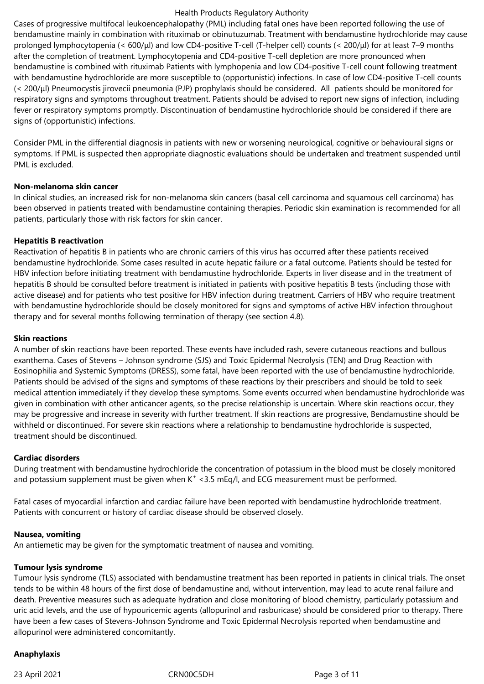Cases of progressive multifocal leukoencephalopathy (PML) including fatal ones have been reported following the use of bendamustine mainly in combination with rituximab or obinutuzumab. Treatment with bendamustine hydrochloride may cause prolonged lymphocytopenia (< 600/μl) and low CD4-positive T-cell (T-helper cell) counts (< 200/μl) for at least 7–9 months after the completion of treatment. Lymphocytopenia and CD4-positive T-cell depletion are more pronounced when bendamustine is combined with rituximab Patients with lymphopenia and low CD4-positive T-cell count following treatment with bendamustine hydrochloride are more susceptible to (opportunistic) infections. In case of low CD4-positive T-cell counts (< 200/μl) Pneumocystis jirovecii pneumonia (PJP) prophylaxis should be considered. All patients should be monitored for respiratory signs and symptoms throughout treatment. Patients should be advised to report new signs of infection, including fever or respiratory symptoms promptly. Discontinuation of bendamustine hydrochloride should be considered if there are signs of (opportunistic) infections.

Consider PML in the differential diagnosis in patients with new or worsening neurological, cognitive or behavioural signs or symptoms. If PML is suspected then appropriate diagnostic evaluations should be undertaken and treatment suspended until PML is excluded.

## **Non-melanoma skin cancer**

In clinical studies, an increased risk for non-melanoma skin cancers (basal cell carcinoma and squamous cell carcinoma) has been observed in patients treated with bendamustine containing therapies. Periodic skin examination is recommended for all patients, particularly those with risk factors for skin cancer.

## **Hepatitis B reactivation**

Reactivation of hepatitis B in patients who are chronic carriers of this virus has occurred after these patients received bendamustine hydrochloride. Some cases resulted in acute hepatic failure or a fatal outcome. Patients should be tested for HBV infection before initiating treatment with bendamustine hydrochloride. Experts in liver disease and in the treatment of hepatitis B should be consulted before treatment is initiated in patients with positive hepatitis B tests (including those with active disease) and for patients who test positive for HBV infection during treatment. Carriers of HBV who require treatment with bendamustine hydrochloride should be closely monitored for signs and symptoms of active HBV infection throughout therapy and for several months following termination of therapy (see section 4.8).

## **Skin reactions**

A number of skin reactions have been reported. These events have included rash, severe cutaneous reactions and bullous exanthema. Cases of Stevens – Johnson syndrome (SJS) and Toxic Epidermal Necrolysis (TEN) and Drug Reaction with Eosinophilia and Systemic Symptoms (DRESS), some fatal, have been reported with the use of bendamustine hydrochloride. Patients should be advised of the signs and symptoms of these reactions by their prescribers and should be told to seek medical attention immediately if they develop these symptoms. Some events occurred when bendamustine hydrochloride was given in combination with other anticancer agents, so the precise relationship is uncertain. Where skin reactions occur, they may be progressive and increase in severity with further treatment. If skin reactions are progressive, Bendamustine should be withheld or discontinued. For severe skin reactions where a relationship to bendamustine hydrochloride is suspected, treatment should be discontinued.

## **Cardiac disorders**

During treatment with bendamustine hydrochloride the concentration of potassium in the blood must be closely monitored and potassium supplement must be given when  $K^+$  < 3.5 mEq/l, and ECG measurement must be performed.

Fatal cases of myocardial infarction and cardiac failure have been reported with bendamustine hydrochloride treatment. Patients with concurrent or history of cardiac disease should be observed closely.

## **Nausea, vomiting**

An antiemetic may be given for the symptomatic treatment of nausea and vomiting.

# **Tumour lysis syndrome**

Tumour lysis syndrome (TLS) associated with bendamustine treatment has been reported in patients in clinical trials. The onset tends to be within 48 hours of the first dose of bendamustine and, without intervention, may lead to acute renal failure and death. Preventive measures such as adequate hydration and close monitoring of blood chemistry, particularly potassium and uric acid levels, and the use of hypouricemic agents (allopurinol and rasburicase) should be considered prior to therapy. There have been a few cases of Stevens-Johnson Syndrome and Toxic Epidermal Necrolysis reported when bendamustine and allopurinol were administered concomitantly.

## **Anaphylaxis**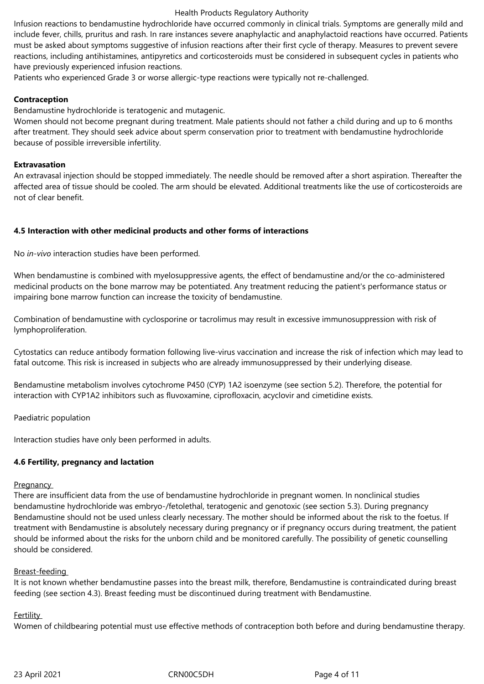Infusion reactions to bendamustine hydrochloride have occurred commonly in clinical trials. Symptoms are generally mild and include fever, chills, pruritus and rash. In rare instances severe anaphylactic and anaphylactoid reactions have occurred. Patients must be asked about symptoms suggestive of infusion reactions after their first cycle of therapy. Measures to prevent severe reactions, including antihistamines, antipyretics and corticosteroids must be considered in subsequent cycles in patients who have previously experienced infusion reactions.

Patients who experienced Grade 3 or worse allergic-type reactions were typically not re-challenged.

# **Contraception**

Bendamustine hydrochloride is teratogenic and mutagenic.

Women should not become pregnant during treatment. Male patients should not father a child during and up to 6 months after treatment. They should seek advice about sperm conservation prior to treatment with bendamustine hydrochloride because of possible irreversible infertility.

## **Extravasation**

An extravasal injection should be stopped immediately. The needle should be removed after a short aspiration. Thereafter the affected area of tissue should be cooled. The arm should be elevated. Additional treatments like the use of corticosteroids are not of clear benefit.

## **4.5 Interaction with other medicinal products and other forms of interactions**

No *in-vivo* interaction studies have been performed.

When bendamustine is combined with myelosuppressive agents, the effect of bendamustine and/or the co-administered medicinal products on the bone marrow may be potentiated. Any treatment reducing the patient's performance status or impairing bone marrow function can increase the toxicity of bendamustine.

Combination of bendamustine with cyclosporine or tacrolimus may result in excessive immunosuppression with risk of lymphoproliferation.

Cytostatics can reduce antibody formation following live-virus vaccination and increase the risk of infection which may lead to fatal outcome. This risk is increased in subjects who are already immunosuppressed by their underlying disease.

Bendamustine metabolism involves cytochrome P450 (CYP) 1A2 isoenzyme (see section 5.2). Therefore, the potential for interaction with CYP1A2 inhibitors such as fluvoxamine, ciprofloxacin, acyclovir and cimetidine exists.

Paediatric population

Interaction studies have only been performed in adults.

## **4.6 Fertility, pregnancy and lactation**

## **Pregnancy**

There are insufficient data from the use of bendamustine hydrochloride in pregnant women. In nonclinical studies bendamustine hydrochloride was embryo-/fetolethal, teratogenic and genotoxic (see section 5.3). During pregnancy Bendamustine should not be used unless clearly necessary. The mother should be informed about the risk to the foetus. If treatment with Bendamustine is absolutely necessary during pregnancy or if pregnancy occurs during treatment, the patient should be informed about the risks for the unborn child and be monitored carefully. The possibility of genetic counselling should be considered.

## Breast-feeding

It is not known whether bendamustine passes into the breast milk, therefore, Bendamustine is contraindicated during breast feeding (see section 4.3). Breast feeding must be discontinued during treatment with Bendamustine.

## Fertility

Women of childbearing potential must use effective methods of contraception both before and during bendamustine therapy.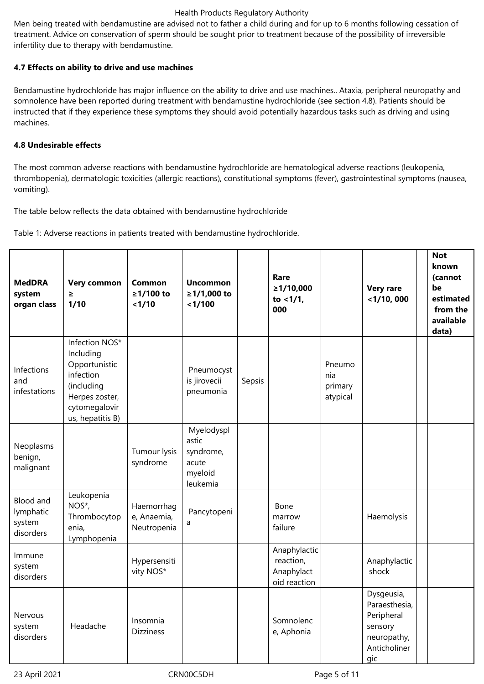Men being treated with bendamustine are advised not to father a child during and for up to 6 months following cessation of treatment. Advice on conservation of sperm should be sought prior to treatment because of the possibility of irreversible infertility due to therapy with bendamustine.

# **4.7 Effects on ability to drive and use machines**

Bendamustine hydrochloride has major influence on the ability to drive and use machines.. Ataxia, peripheral neuropathy and somnolence have been reported during treatment with bendamustine hydrochloride (see section 4.8). Patients should be instructed that if they experience these symptoms they should avoid potentially hazardous tasks such as driving and using machines.

# **4.8 Undesirable effects**

The most common adverse reactions with bendamustine hydrochloride are hematological adverse reactions (leukopenia, thrombopenia), dermatologic toxicities (allergic reactions), constitutional symptoms (fever), gastrointestinal symptoms (nausea, vomiting).

The table below reflects the data obtained with bendamustine hydrochloride

Table 1: Adverse reactions in patients treated with bendamustine hydrochloride.

| <b>MedDRA</b><br>system<br>organ class        | <b>Very common</b><br>$\geq$<br>1/10                                                                                           | Common<br>≥1/100 to<br>< 1/10            | <b>Uncommon</b><br>≥1/1,000 to<br>< 1/100                        |        | Rare<br>≥1/10,000<br>to $< 1/1$ ,<br>000                |                                      | <b>Very rare</b><br>$<$ 1/10, 000                                                          | <b>Not</b><br>known<br>(cannot<br>be<br>estimated<br>from the<br>available<br>data) |
|-----------------------------------------------|--------------------------------------------------------------------------------------------------------------------------------|------------------------------------------|------------------------------------------------------------------|--------|---------------------------------------------------------|--------------------------------------|--------------------------------------------------------------------------------------------|-------------------------------------------------------------------------------------|
| Infections<br>and<br>infestations             | Infection NOS*<br>Including<br>Opportunistic<br>infection<br>(including<br>Herpes zoster,<br>cytomegalovir<br>us, hepatitis B) |                                          | Pneumocyst<br>is jirovecii<br>pneumonia                          | Sepsis |                                                         | Pneumo<br>nia<br>primary<br>atypical |                                                                                            |                                                                                     |
| Neoplasms<br>benign,<br>malignant             |                                                                                                                                | Tumour lysis<br>syndrome                 | Myelodyspl<br>astic<br>syndrome,<br>acute<br>myeloid<br>leukemia |        |                                                         |                                      |                                                                                            |                                                                                     |
| Blood and<br>lymphatic<br>system<br>disorders | Leukopenia<br>NOS*,<br>Thrombocytop<br>enia,<br>Lymphopenia                                                                    | Haemorrhag<br>e, Anaemia,<br>Neutropenia | Pancytopeni<br>a                                                 |        | Bone<br>marrow<br>failure                               |                                      | Haemolysis                                                                                 |                                                                                     |
| Immune<br>system<br>disorders                 |                                                                                                                                | Hypersensiti<br>vity NOS*                |                                                                  |        | Anaphylactic<br>reaction,<br>Anaphylact<br>oid reaction |                                      | Anaphylactic<br>shock                                                                      |                                                                                     |
| Nervous<br>system<br>disorders                | Headache                                                                                                                       | Insomnia<br><b>Dizziness</b>             |                                                                  |        | Somnolenc<br>e, Aphonia                                 |                                      | Dysgeusia,<br>Paraesthesia,<br>Peripheral<br>sensory<br>neuropathy,<br>Anticholiner<br>gic |                                                                                     |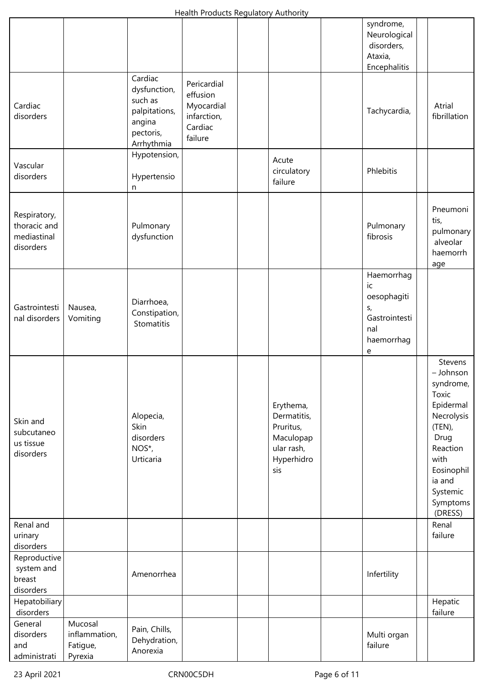|                                                          |                                                 |                                                                                          |                                                                            |                                                                                       | syndrome,<br>Neurological<br>disorders,<br>Ataxia,<br>Encephalitis                    |                                                                                                                                                                        |
|----------------------------------------------------------|-------------------------------------------------|------------------------------------------------------------------------------------------|----------------------------------------------------------------------------|---------------------------------------------------------------------------------------|---------------------------------------------------------------------------------------|------------------------------------------------------------------------------------------------------------------------------------------------------------------------|
| Cardiac<br>disorders                                     |                                                 | Cardiac<br>dysfunction,<br>such as<br>palpitations,<br>angina<br>pectoris,<br>Arrhythmia | Pericardial<br>effusion<br>Myocardial<br>infarction,<br>Cardiac<br>failure |                                                                                       | Tachycardia,                                                                          | Atrial<br>fibrillation                                                                                                                                                 |
| Vascular<br>disorders                                    |                                                 | Hypotension,<br>Hypertensio<br>n                                                         |                                                                            | Acute<br>circulatory<br>failure                                                       | Phlebitis                                                                             |                                                                                                                                                                        |
| Respiratory,<br>thoracic and<br>mediastinal<br>disorders |                                                 | Pulmonary<br>dysfunction                                                                 |                                                                            |                                                                                       | Pulmonary<br>fibrosis                                                                 | Pneumoni<br>tis,<br>pulmonary<br>alveolar<br>haemorrh<br>age                                                                                                           |
| Gastrointesti<br>nal disorders                           | Nausea,<br>Vomiting                             | Diarrhoea,<br>Constipation,<br>Stomatitis                                                |                                                                            |                                                                                       | Haemorrhag<br>ic<br>oesophagiti<br>$S_{I}$<br>Gastrointesti<br>nal<br>haemorrhag<br>e |                                                                                                                                                                        |
| Skin and<br>subcutaneo<br>us tissue<br>disorders         |                                                 | Alopecia,<br>Skin<br>disorders<br>NOS*,<br>Urticaria                                     |                                                                            | Erythema,<br>Dermatitis,<br>Pruritus,<br>Maculopap<br>ular rash,<br>Hyperhidro<br>sis |                                                                                       | Stevens<br>- Johnson<br>syndrome,<br>Toxic<br>Epidermal<br>Necrolysis<br>(TEN),<br>Drug<br>Reaction<br>with<br>Eosinophil<br>ia and<br>Systemic<br>Symptoms<br>(DRESS) |
| Renal and<br>urinary<br>disorders                        |                                                 |                                                                                          |                                                                            |                                                                                       |                                                                                       | Renal<br>failure                                                                                                                                                       |
| Reproductive<br>system and<br>breast<br>disorders        |                                                 | Amenorrhea                                                                               |                                                                            |                                                                                       | Infertility                                                                           |                                                                                                                                                                        |
| Hepatobiliary<br>disorders                               |                                                 |                                                                                          |                                                                            |                                                                                       |                                                                                       | Hepatic<br>failure                                                                                                                                                     |
| General<br>disorders<br>and<br>administrati              | Mucosal<br>inflammation,<br>Fatigue,<br>Pyrexia | Pain, Chills,<br>Dehydration,<br>Anorexia                                                |                                                                            |                                                                                       | Multi organ<br>failure                                                                |                                                                                                                                                                        |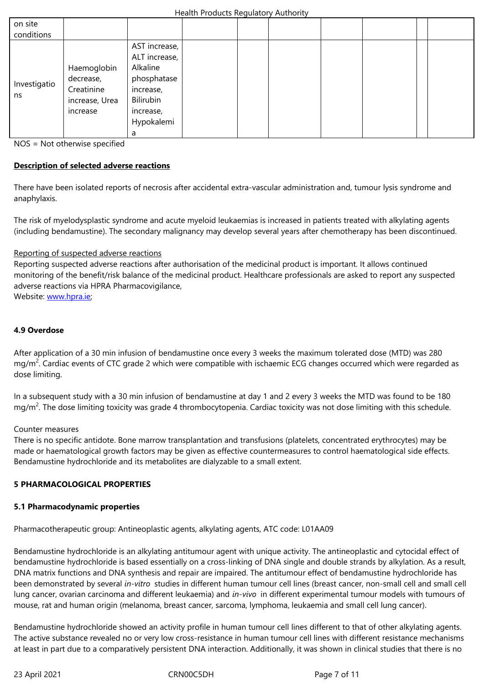|                    |                | AST increase, I |  |  |  |  |
|--------------------|----------------|-----------------|--|--|--|--|
| Investigatio<br>ns |                | ALT increase,   |  |  |  |  |
|                    | Haemoglobin    | Alkaline        |  |  |  |  |
|                    | decrease,      | phosphatase     |  |  |  |  |
|                    | Creatinine     | increase,       |  |  |  |  |
|                    | increase, Urea | Bilirubin       |  |  |  |  |
|                    | increase       | increase,       |  |  |  |  |
|                    |                | Hypokalemi      |  |  |  |  |
|                    |                | a               |  |  |  |  |

NOS = Not otherwise specified

## **Description of selected adverse reactions**

There have been isolated reports of necrosis after accidental extra-vascular administration and, tumour lysis syndrome and anaphylaxis.

The risk of myelodysplastic syndrome and acute myeloid leukaemias is increased in patients treated with alkylating agents (including bendamustine). The secondary malignancy may develop several years after chemotherapy has been discontinued.

#### Reporting of suspected adverse reactions

Reporting suspected adverse reactions after authorisation of the medicinal product is important. It allows continued monitoring of the benefit/risk balance of the medicinal product. Healthcare professionals are asked to report any suspected adverse reactions via HPRA Pharmacovigilance,

Website: www.hpra.ie;

#### **4.9 Over[dose](http://www.hpra.ie/)**

After application of a 30 min infusion of bendamustine once every 3 weeks the maximum tolerated dose (MTD) was 280 mg/m<sup>2</sup>. Cardiac events of CTC grade 2 which were compatible with ischaemic ECG changes occurred which were regarded as dose limiting.

In a subsequent study with a 30 min infusion of bendamustine at day 1 and 2 every 3 weeks the MTD was found to be 180 mg/m<sup>2</sup>. The dose limiting toxicity was grade 4 thrombocytopenia. Cardiac toxicity was not dose limiting with this schedule.

#### Counter measures

There is no specific antidote. Bone marrow transplantation and transfusions (platelets, concentrated erythrocytes) may be made or haematological growth factors may be given as effective countermeasures to control haematological side effects. Bendamustine hydrochloride and its metabolites are dialyzable to a small extent.

#### **5 PHARMACOLOGICAL PROPERTIES**

#### **5.1 Pharmacodynamic properties**

Pharmacotherapeutic group: Antineoplastic agents, alkylating agents, ATC code: L01AA09

Bendamustine hydrochloride is an alkylating antitumour agent with unique activity. The antineoplastic and cytocidal effect of bendamustine hydrochloride is based essentially on a cross-linking of DNA single and double strands by alkylation. As a result, DNA matrix functions and DNA synthesis and repair are impaired. The antitumour effect of bendamustine hydrochloride has been demonstrated by several *in‑vitro* studies in different human tumour cell lines (breast cancer, non-small cell and small cell lung cancer, ovarian carcinoma and different leukaemia) and *in‑vivo* in different experimental tumour models with tumours of mouse, rat and human origin (melanoma, breast cancer, sarcoma, lymphoma, leukaemia and small cell lung cancer).

Bendamustine hydrochloride showed an activity profile in human tumour cell lines different to that of other alkylating agents. The active substance revealed no or very low cross-resistance in human tumour cell lines with different resistance mechanisms at least in part due to a comparatively persistent DNA interaction. Additionally, it was shown in clinical studies that there is no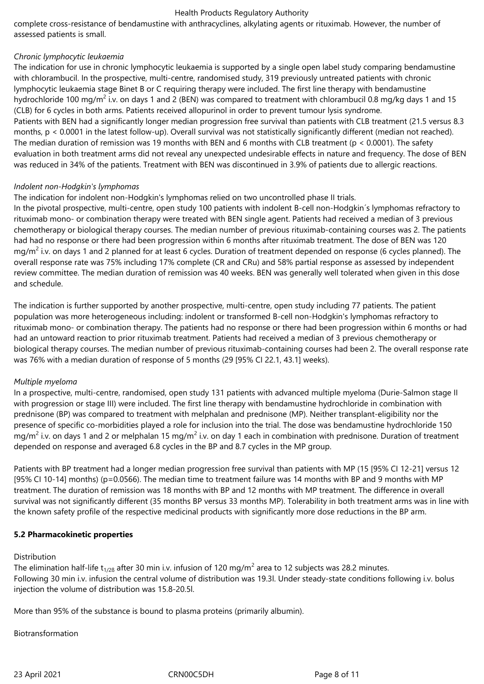complete cross-resistance of bendamustine with anthracyclines, alkylating agents or rituximab. However, the number of assessed patients is small.

## *Chronic lymphocytic leukaemia*

The indication for use in chronic lymphocytic leukaemia is supported by a single open label study comparing bendamustine with chlorambucil. In the prospective, multi-centre, randomised study, 319 previously untreated patients with chronic lymphocytic leukaemia stage Binet B or C requiring therapy were included. The first line therapy with bendamustine hydrochloride 100 mg/m<sup>2</sup> i.v. on days 1 and 2 (BEN) was compared to treatment with chlorambucil 0.8 mg/kg days 1 and 15 (CLB) for 6 cycles in both arms. Patients received allopurinol in order to prevent tumour lysis syndrome. Patients with BEN had a significantly longer median progression free survival than patients with CLB treatment (21.5 versus 8.3 months, p < 0.0001 in the latest follow-up). Overall survival was not statistically significantly different (median not reached). The median duration of remission was 19 months with BEN and 6 months with CLB treatment ( $p < 0.0001$ ). The safety evaluation in both treatment arms did not reveal any unexpected undesirable effects in nature and frequency. The dose of BEN was reduced in 34% of the patients. Treatment with BEN was discontinued in 3.9% of patients due to allergic reactions.

## *Indolent non-Hodgkin's lymphomas*

The indication for indolent non-Hodgkin's lymphomas relied on two uncontrolled phase II trials.

In the pivotal prospective, multi-centre, open study 100 patients with indolent B-cell non-Hodgkin´s lymphomas refractory to rituximab mono- or combination therapy were treated with BEN single agent. Patients had received a median of 3 previous chemotherapy or biological therapy courses. The median number of previous rituximab-containing courses was 2. The patients had had no response or there had been progression within 6 months after rituximab treatment. The dose of BEN was 120 mg/m<sup>2</sup> i.v. on days 1 and 2 planned for at least 6 cycles. Duration of treatment depended on response (6 cycles planned). The overall response rate was 75% including 17% complete (CR and CRu) and 58% partial response as assessed by independent review committee. The median duration of remission was 40 weeks. BEN was generally well tolerated when given in this dose and schedule.

The indication is further supported by another prospective, multi-centre, open study including 77 patients. The patient population was more heterogeneous including: indolent or transformed B-cell non-Hodgkin's lymphomas refractory to rituximab mono- or combination therapy. The patients had no response or there had been progression within 6 months or had had an untoward reaction to prior rituximab treatment. Patients had received a median of 3 previous chemotherapy or biological therapy courses. The median number of previous rituximab-containing courses had been 2. The overall response rate was 76% with a median duration of response of 5 months (29 [95% CI 22.1, 43.1] weeks).

## *Multiple myeloma*

In a prospective, multi-centre, randomised, open study 131 patients with advanced multiple myeloma (Durie-Salmon stage II with progression or stage III) were included. The first line therapy with bendamustine hydrochloride in combination with prednisone (BP) was compared to treatment with melphalan and prednisone (MP). Neither transplant-eligibility nor the presence of specific co-morbidities played a role for inclusion into the trial. The dose was bendamustine hydrochloride 150 mg/m<sup>2</sup> i.v. on days 1 and 2 or melphalan 15 mg/m<sup>2</sup> i.v. on day 1 each in combination with prednisone. Duration of treatment depended on response and averaged 6.8 cycles in the BP and 8.7 cycles in the MP group.

Patients with BP treatment had a longer median progression free survival than patients with MP (15 [95% CI 12-21] versus 12 [95% CI 10-14] months) (p=0.0566). The median time to treatment failure was 14 months with BP and 9 months with MP treatment. The duration of remission was 18 months with BP and 12 months with MP treatment. The difference in overall survival was not significantly different (35 months BP versus 33 months MP). Tolerability in both treatment arms was in line with the known safety profile of the respective medicinal products with significantly more dose reductions in the BP arm.

## **5.2 Pharmacokinetic properties**

## Distribution

The elimination half-life t $_{1/26}$  after 30 min i.v. infusion of 120 mg/m<sup>2</sup> area to 12 subjects was 28.2 minutes. Following 30 min i.v. infusion the central volume of distribution was 19.3l. Under steady-state conditions following i.v. bolus injection the volume of distribution was 15.8-20.5l.

More than 95% of the substance is bound to plasma proteins (primarily albumin).

Biotransformation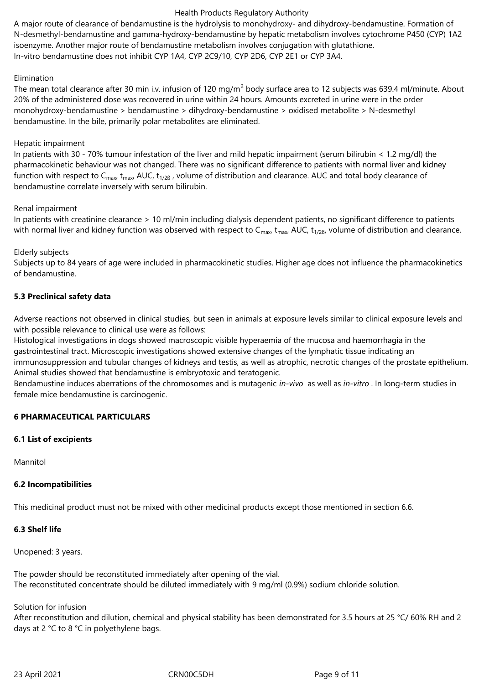A major route of clearance of bendamustine is the hydrolysis to monohydroxy- and dihydroxy-bendamustine. Formation of N-desmethyl-bendamustine and gamma-hydroxy-bendamustine by hepatic metabolism involves cytochrome P450 (CYP) 1A2 isoenzyme. Another major route of bendamustine metabolism involves conjugation with glutathione. In-vitro bendamustine does not inhibit CYP 1A4, CYP 2C9/10, CYP 2D6, CYP 2E1 or CYP 3A4.

#### Elimination

The mean total clearance after 30 min i.v. infusion of 120 mg/m<sup>2</sup> body surface area to 12 subjects was 639.4 ml/minute. About 20% of the administered dose was recovered in urine within 24 hours. Amounts excreted in urine were in the order monohydroxy-bendamustine > bendamustine > dihydroxy-bendamustine > oxidised metabolite > N-desmethyl bendamustine. In the bile, primarily polar metabolites are eliminated.

#### Hepatic impairment

In patients with 30 - 70% tumour infestation of the liver and mild hepatic impairment (serum bilirubin < 1.2 mg/dl) the pharmacokinetic behaviour was not changed. There was no significant difference to patients with normal liver and kidney function with respect to C<sub>max</sub>,  $t_{\text{max}}$ , AUC,  $t_{1/2\beta}$ , volume of distribution and clearance. AUC and total body clearance of bendamustine correlate inversely with serum bilirubin.

#### Renal impairment

In patients with creatinine clearance > 10 ml/min including dialysis dependent patients, no significant difference to patients with normal liver and kidney function was observed with respect to  $C_{\text{max}}$ ,  $t_{\text{max}}$ , AUC,  $t_{1/2\beta}$ , volume of distribution and clearance.

## Elderly subjects

Subjects up to 84 years of age were included in pharmacokinetic studies. Higher age does not influence the pharmacokinetics of bendamustine.

## **5.3 Preclinical safety data**

Adverse reactions not observed in clinical studies, but seen in animals at exposure levels similar to clinical exposure levels and with possible relevance to clinical use were as follows:

Histological investigations in dogs showed macroscopic visible hyperaemia of the mucosa and haemorrhagia in the gastrointestinal tract. Microscopic investigations showed extensive changes of the lymphatic tissue indicating an immunosuppression and tubular changes of kidneys and testis, as well as atrophic, necrotic changes of the prostate epithelium. Animal studies showed that bendamustine is embryotoxic and teratogenic.

Bendamustine induces aberrations of the chromosomes and is mutagenic *in‑vivo* as well as *in‑vitro* . In long-term studies in female mice bendamustine is carcinogenic.

## **6 PHARMACEUTICAL PARTICULARS**

## **6.1 List of excipients**

Mannitol

## **6.2 Incompatibilities**

This medicinal product must not be mixed with other medicinal products except those mentioned in section 6.6.

## **6.3 Shelf life**

Unopened: 3 years.

The powder should be reconstituted immediately after opening of the vial. The reconstituted concentrate should be diluted immediately with 9 mg/ml (0.9%) sodium chloride solution.

## Solution for infusion

After reconstitution and dilution, chemical and physical stability has been demonstrated for 3.5 hours at 25 °C/ 60% RH and 2 days at 2 °C to 8 °C in polyethylene bags.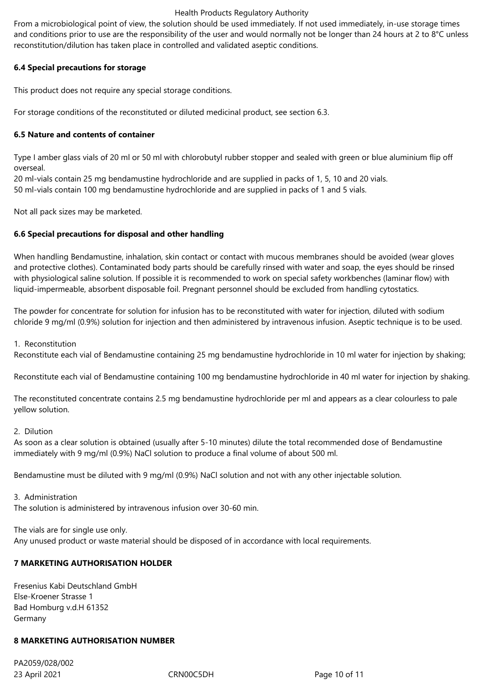From a microbiological point of view, the solution should be used immediately. If not used immediately, in-use storage times and conditions prior to use are the responsibility of the user and would normally not be longer than 24 hours at 2 to 8°C unless reconstitution/dilution has taken place in controlled and validated aseptic conditions.

## **6.4 Special precautions for storage**

This product does not require any special storage conditions.

For storage conditions of the reconstituted or diluted medicinal product, see section 6.3.

# **6.5 Nature and contents of container**

Type I amber glass vials of 20 ml or 50 ml with chlorobutyl rubber stopper and sealed with green or blue aluminium flip off overseal.

20 ml-vials contain 25 mg bendamustine hydrochloride and are supplied in packs of 1, 5, 10 and 20 vials. 50 ml-vials contain 100 mg bendamustine hydrochloride and are supplied in packs of 1 and 5 vials.

Not all pack sizes may be marketed.

## **6.6 Special precautions for disposal and other handling**

When handling Bendamustine, inhalation, skin contact or contact with mucous membranes should be avoided (wear gloves and protective clothes). Contaminated body parts should be carefully rinsed with water and soap, the eyes should be rinsed with physiological saline solution. If possible it is recommended to work on special safety workbenches (laminar flow) with liquid-impermeable, absorbent disposable foil. Pregnant personnel should be excluded from handling cytostatics.

The powder for concentrate for solution for infusion has to be reconstituted with water for injection, diluted with sodium chloride 9 mg/ml (0.9%) solution for injection and then administered by intravenous infusion. Aseptic technique is to be used.

1. Reconstitution

Reconstitute each vial of Bendamustine containing 25 mg bendamustine hydrochloride in 10 ml water for injection by shaking;

Reconstitute each vial of Bendamustine containing 100 mg bendamustine hydrochloride in 40 ml water for injection by shaking.

The reconstituted concentrate contains 2.5 mg bendamustine hydrochloride per ml and appears as a clear colourless to pale yellow solution.

## 2. Dilution

As soon as a clear solution is obtained (usually after 5-10 minutes) dilute the total recommended dose of Bendamustine immediately with 9 mg/ml (0.9%) NaCl solution to produce a final volume of about 500 ml.

Bendamustine must be diluted with 9 mg/ml (0.9%) NaCl solution and not with any other injectable solution.

## 3. Administration

The solution is administered by intravenous infusion over 30-60 min.

The vials are for single use only. Any unused product or waste material should be disposed of in accordance with local requirements.

# **7 MARKETING AUTHORISATION HOLDER**

Fresenius Kabi Deutschland GmbH Else-Kroener Strasse 1 Bad Homburg v.d.H 61352 Germany

## **8 MARKETING AUTHORISATION NUMBER**

23 April 2021 CRN00C5DH Page 10 of 11 PA2059/028/002